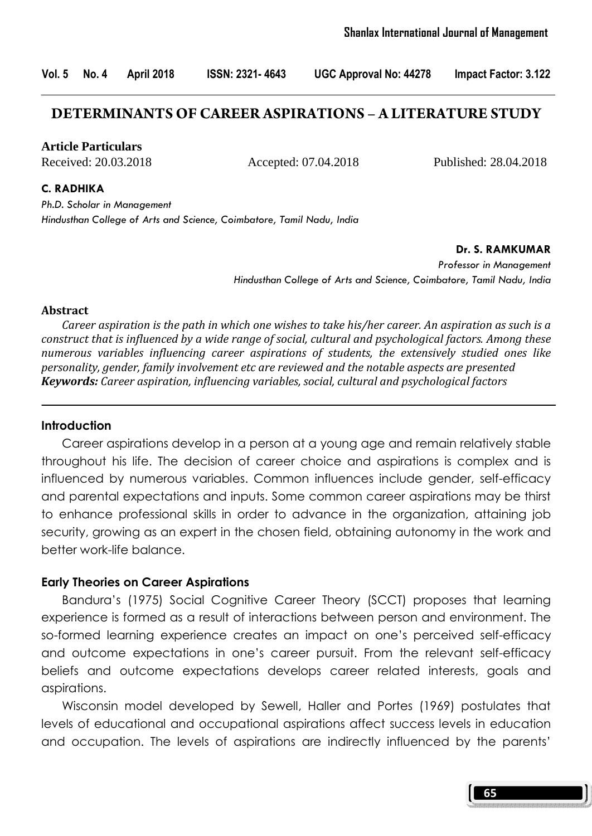## **DETERMINANTS OF CAREER ASPIRATIONS – A LITERATURE STUDY**

**Article Particulars**

Received: 20.03.2018 Accepted: 07.04.2018 Published: 28.04.2018

C. RADHIKA

Ph.D. Scholar in Management Hindusthan College of Arts and Science, Coimbatore, Tamil Nadu, India

Dr. S. RAMKUMAR

Professor in Management Hindusthan College of Arts and Science, Coimbatore, Tamil Nadu, India

#### Abstract

 Career aspiration is the path in which one wishes to take his/her career. An aspiration as such is a construct that is influenced by a wide range of social, cultural and psychological factors. Among these numerous variables influencing career aspirations of students, the extensively studied ones like personality, gender, family involvement etc are reviewed and the notable aspects are presented **Keywords:** Career aspiration, influencing variables, social, cultural and psychological factors

#### Introduction

 Career aspirations develop in a person at a young age and remain relatively stable throughout his life. The decision of career choice and aspirations is complex and is influenced by numerous variables. Common influences include gender, self-efficacy and parental expectations and inputs. Some common career aspirations may be thirst to enhance professional skills in order to advance in the organization, attaining job security, growing as an expert in the chosen field, obtaining autonomy in the work and better work-life balance.

#### Early Theories on Career Aspirations

 Bandura's (1975) Social Cognitive Career Theory (SCCT) proposes that learning experience is formed as a result of interactions between person and environment. The so-formed learning experience creates an impact on one's perceived self-efficacy and outcome expectations in one's career pursuit. From the relevant self-efficacy beliefs and outcome expectations develops career related interests, goals and aspirations.

 Wisconsin model developed by Sewell, Haller and Portes (1969) postulates that levels of educational and occupational aspirations affect success levels in education and occupation. The levels of aspirations are indirectly influenced by the parents'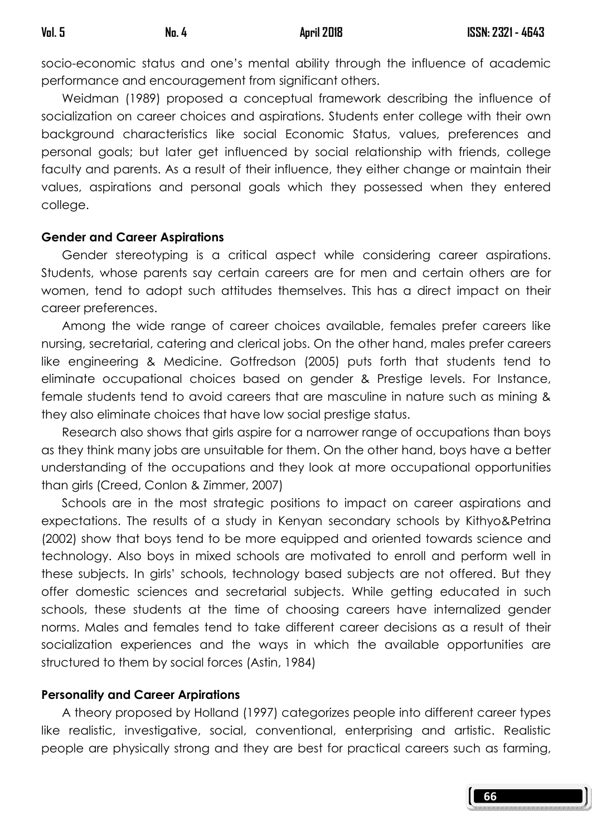socio-economic status and one's mental ability through the influence of academic performance and encouragement from significant others.

 Weidman (1989) proposed a conceptual framework describing the influence of socialization on career choices and aspirations. Students enter college with their own background characteristics like social Economic Status, values, preferences and personal goals; but later get influenced by social relationship with friends, college faculty and parents. As a result of their influence, they either change or maintain their values, aspirations and personal goals which they possessed when they entered college.

## Gender and Career Aspirations

Gender stereotyping is a critical aspect while considering career aspirations. Students, whose parents say certain careers are for men and certain others are for women, tend to adopt such attitudes themselves. This has a direct impact on their career preferences.

 Among the wide range of career choices available, females prefer careers like nursing, secretarial, catering and clerical jobs. On the other hand, males prefer careers like engineering & Medicine. Gotfredson (2005) puts forth that students tend to eliminate occupational choices based on gender & Prestige levels. For Instance, female students tend to avoid careers that are masculine in nature such as mining & they also eliminate choices that have low social prestige status.

 Research also shows that girls aspire for a narrower range of occupations than boys as they think many jobs are unsuitable for them. On the other hand, boys have a better understanding of the occupations and they look at more occupational opportunities than girls (Creed, Conlon & Zimmer, 2007)

 Schools are in the most strategic positions to impact on career aspirations and expectations. The results of a study in Kenyan secondary schools by Kithyo&Petrina (2002) show that boys tend to be more equipped and oriented towards science and technology. Also boys in mixed schools are motivated to enroll and perform well in these subjects. In girls' schools, technology based subjects are not offered. But they offer domestic sciences and secretarial subjects. While getting educated in such schools, these students at the time of choosing careers have internalized gender norms. Males and females tend to take different career decisions as a result of their socialization experiences and the ways in which the available opportunities are structured to them by social forces (Astin, 1984)

# Personality and Career Arpirations

A theory proposed by Holland (1997) categorizes people into different career types like realistic, investigative, social, conventional, enterprising and artistic. Realistic people are physically strong and they are best for practical careers such as farming,

66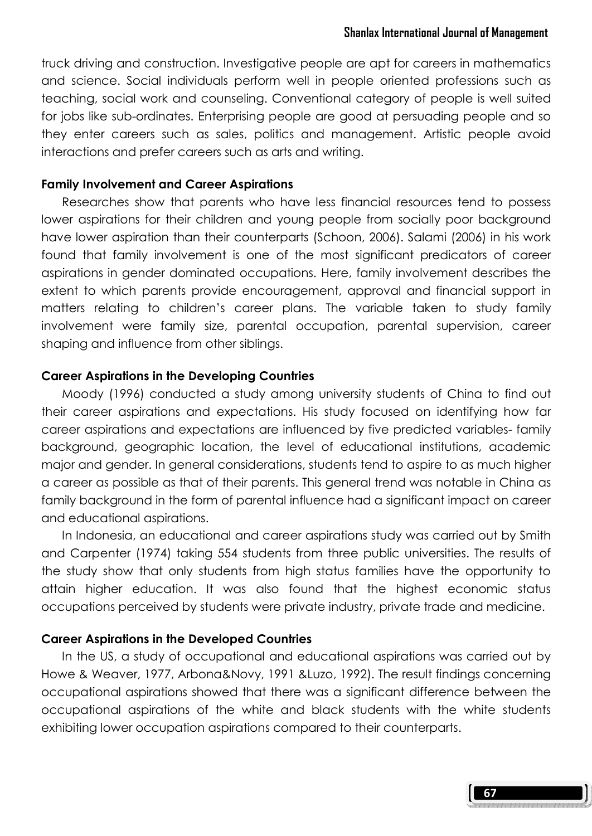truck driving and construction. Investigative people are apt for careers in mathematics and science. Social individuals perform well in people oriented professions such as teaching, social work and counseling. Conventional category of people is well suited for jobs like sub-ordinates. Enterprising people are good at persuading people and so they enter careers such as sales, politics and management. Artistic people avoid interactions and prefer careers such as arts and writing.

#### Family Involvement and Career Aspirations

 Researches show that parents who have less financial resources tend to possess lower aspirations for their children and young people from socially poor background have lower aspiration than their counterparts (Schoon, 2006). Salami (2006) in his work found that family involvement is one of the most significant predicators of career aspirations in gender dominated occupations. Here, family involvement describes the extent to which parents provide encouragement, approval and financial support in matters relating to children's career plans. The variable taken to study family involvement were family size, parental occupation, parental supervision, career shaping and influence from other siblings.

#### Career Aspirations in the Developing Countries

 Moody (1996) conducted a study among university students of China to find out their career aspirations and expectations. His study focused on identifying how far career aspirations and expectations are influenced by five predicted variables- family background, geographic location, the level of educational institutions, academic major and gender. In general considerations, students tend to aspire to as much higher a career as possible as that of their parents. This general trend was notable in China as family background in the form of parental influence had a significant impact on career and educational aspirations.

 In Indonesia, an educational and career aspirations study was carried out by Smith and Carpenter (1974) taking 554 students from three public universities. The results of the study show that only students from high status families have the opportunity to attain higher education. It was also found that the highest economic status occupations perceived by students were private industry, private trade and medicine.

#### Career Aspirations in the Developed Countries

 In the US, a study of occupational and educational aspirations was carried out by Howe & Weaver, 1977, Arbona&Novy, 1991 &Luzo, 1992). The result findings concerning occupational aspirations showed that there was a significant difference between the occupational aspirations of the white and black students with the white students exhibiting lower occupation aspirations compared to their counterparts.